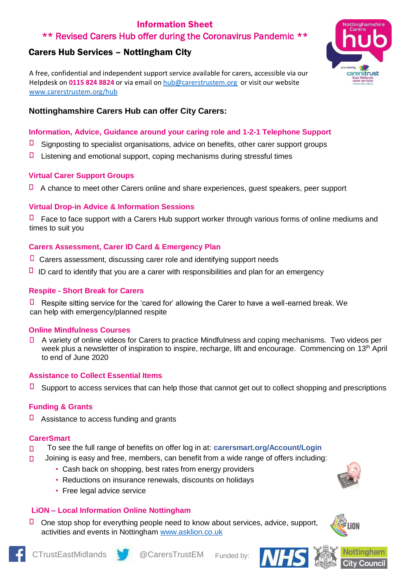# Information Sheet \*\* Revised Carers Hub offer during the Coronavirus Pandemic \*\*

# Carers Hub Services – Nottingham City

A free, confidential and independent support service available for carers, accessible via our Helpdesk on **0115 824 8824** or via email o[n hub@carerstrustem.org](mailto:hub@carerstrustem.org) or visit our website [www.carerstrustem.org/hub](http://www.carerstrustem.org/hub)



# **Information, Advice, Guidance around your caring role and 1-2-1 Telephone Support**

- П Signposting to specialist organisations, advice on benefits, other carer support groups
- П Listening and emotional support, coping mechanisms during stressful times

### **Virtual Carer Support Groups**

 $\Box$  A chance to meet other Carers online and share experiences, quest speakers, peer support

# **Virtual Drop-in Advice & Information Sessions**

Face to face support with a Carers Hub support worker through various forms of online mediums and times to suit you

# **Carers Assessment, Carer ID Card & Emergency Plan**

- $\Box$  Carers assessment, discussing carer role and identifying support needs
- $\Box$  ID card to identify that you are a carer with responsibilities and plan for an emergency

### **Respite - Short Break for Carers**

 $\Box$  Respite sitting service for the 'cared for' allowing the Carer to have a well-earned break. We can help with emergency/planned respite

### **Online Mindfulness Courses**

A variety of online videos for Carers to practice Mindfulness and coping mechanisms. Two videos per п week plus a newsletter of inspiration to inspire, recharge, lift and encourage. Commencing on 13<sup>th</sup> April to end of June 2020

### **Assistance to Collect Essential Items**

 $\Box$ Support to access services that can help those that cannot get out to collect shopping and prescriptions

### **Funding & Grants**

□ Assistance to access funding and grants

#### **CarerSmart**

- To see the full range of benefits on offer log in at: **carersmart.org/Account/Login**  $\Box$
- Joining is easy and free, members, can benefit from a wide range of offers including:  $\Box$ 
	- Cash back on shopping, best rates from energy providers
	- Reductions on insurance renewals, discounts on holidays
	- **Free legal advice service**

### **LiON – Local Information Online Nottingham**

 $\Box$ One stop shop for everything people need to know about services, advice, support, activities and events in Nottingham [www.asklion.co.uk](http://www.asklion.co.uk/)